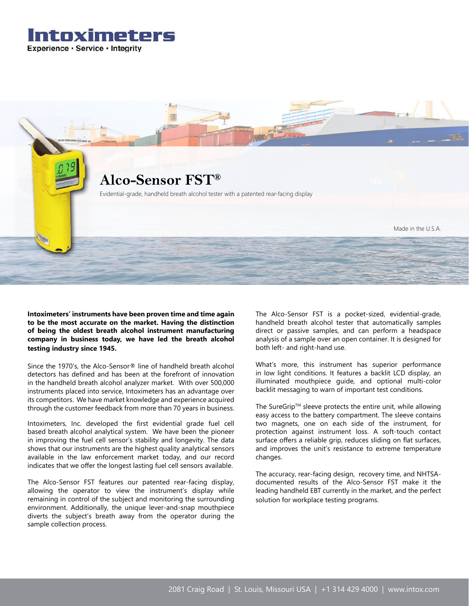



**Intoximeters' instruments have been proven time and time again to be the most accurate on the market. Having the distinction of being the oldest breath alcohol instrument manufacturing company in business today, we have led the breath alcohol testing industry since 1945.**

Since the 1970's, the Alco-Sensor® line of handheld breath alcohol detectors has defined and has been at the forefront of innovation in the handheld breath alcohol analyzer market. With over 500,000 instruments placed into service, Intoximeters has an advantage over its competitors. We have market knowledge and experience acquired through the customer feedback from more than 70 years in business.

Intoximeters, Inc. developed the first evidential grade fuel cell based breath alcohol analytical system. We have been the pioneer in improving the fuel cell sensor's stability and longevity. The data shows that our instruments are the highest quality analytical sensors available in the law enforcement market today, and our record indicates that we offer the longest lasting fuel cell sensors available.

The Alco-Sensor FST features our patented rear-facing display, allowing the operator to view the instrument's display while remaining in control of the subject and monitoring the surrounding environment. Additionally, the unique lever-and-snap mouthpiece diverts the subject's breath away from the operator during the sample collection process.

The Alco-Sensor FST is a pocket-sized, evidential-grade, handheld breath alcohol tester that automatically samples direct or passive samples, and can perform a headspace analysis of a sample over an open container. It is designed for both left- and right-hand use.

What's more, this instrument has superior performance in low light conditions. It features a backlit LCD display, an illuminated mouthpiece guide, and optional multi-color backlit messaging to warn of important test conditions.

The SureGrip™ sleeve protects the entire unit, while allowing easy access to the battery compartment. The sleeve contains two magnets, one on each side of the instrument, for protection against instrument loss. A soft-touch contact surface offers a reliable grip, reduces sliding on flat surfaces, and improves the unit's resistance to extreme temperature changes.

The accuracy, rear-facing design, recovery time, and NHTSAdocumented results of the Alco-Sensor FST make it the leading handheld EBT currently in the market, and the perfect solution for workplace testing programs.